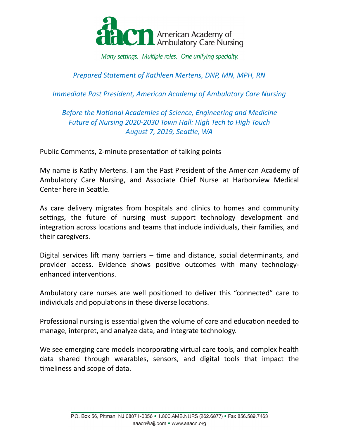

Many settings. Multiple roles. One unifying specialty.

*Prepared Statement of Kathleen Mertens, DNP, MN, MPH, RN* 

*Immediate Past President, American Academy of Ambulatory Care Nursing* 

## **Before the National Academies of Science, Engineering and Medicine** *Future of Nursing 2020-2030 Town Hall: High Tech to High Touch August 7, 2019, Seattle, WA*

Public Comments, 2-minute presentation of talking points

My name is Kathy Mertens. I am the Past President of the American Academy of Ambulatory Care Nursing, and Associate Chief Nurse at Harborview Medical Center here in Seattle.

As care delivery migrates from hospitals and clinics to homes and community settings, the future of nursing must support technology development and integration across locations and teams that include individuals, their families, and their caregivers.

Digital services lift many barriers  $-$  time and distance, social determinants, and provider access. Evidence shows positive outcomes with many technologyenhanced interventions.

Ambulatory care nurses are well positioned to deliver this "connected" care to individuals and populations in these diverse locations.

Professional nursing is essential given the volume of care and education needed to manage, interpret, and analyze data, and integrate technology.

We see emerging care models incorporating virtual care tools, and complex health data shared through wearables, sensors, and digital tools that impact the timeliness and scope of data.